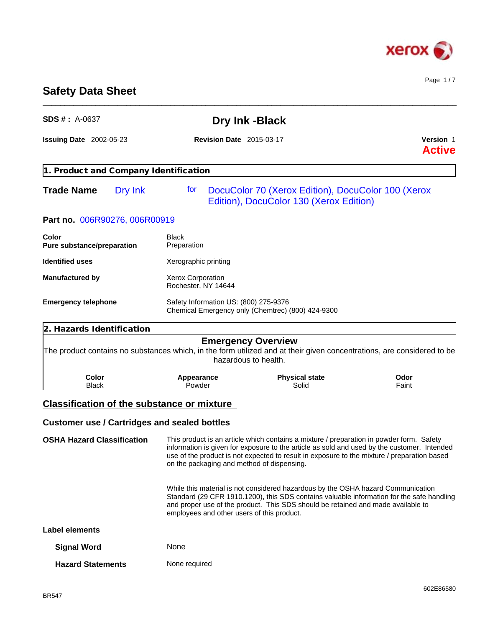

Page 1 / 7

# **Safety Data Sheet**

| $SDS # : A-0637$                                    |                                                                                                                                                                                                                                                                                                                 | Dry Ink - Black                                                                                                                                                                                                                                                                        |               |  |
|-----------------------------------------------------|-----------------------------------------------------------------------------------------------------------------------------------------------------------------------------------------------------------------------------------------------------------------------------------------------------------------|----------------------------------------------------------------------------------------------------------------------------------------------------------------------------------------------------------------------------------------------------------------------------------------|---------------|--|
| <b>Issuing Date</b> 2002-05-23                      | <b>Revision Date</b> 2015-03-17                                                                                                                                                                                                                                                                                 | <b>Version 1</b><br><b>Active</b>                                                                                                                                                                                                                                                      |               |  |
| 1. Product and Company Identification               |                                                                                                                                                                                                                                                                                                                 |                                                                                                                                                                                                                                                                                        |               |  |
| <b>Trade Name</b><br>Dry Ink                        | tor                                                                                                                                                                                                                                                                                                             | DocuColor 70 (Xerox Edition), DocuColor 100 (Xerox<br>Edition), DocuColor 130 (Xerox Edition)                                                                                                                                                                                          |               |  |
| Part no. 006R90276, 006R00919                       |                                                                                                                                                                                                                                                                                                                 |                                                                                                                                                                                                                                                                                        |               |  |
| Color<br><b>Pure substance/preparation</b>          | <b>Black</b><br>Preparation                                                                                                                                                                                                                                                                                     |                                                                                                                                                                                                                                                                                        |               |  |
| <b>Identified uses</b>                              | Xerographic printing                                                                                                                                                                                                                                                                                            |                                                                                                                                                                                                                                                                                        |               |  |
| <b>Manufactured by</b>                              | <b>Xerox Corporation</b><br>Rochester, NY 14644                                                                                                                                                                                                                                                                 |                                                                                                                                                                                                                                                                                        |               |  |
| <b>Emergency telephone</b>                          | Safety Information US: (800) 275-9376                                                                                                                                                                                                                                                                           | Chemical Emergency only (Chemtrec) (800) 424-9300                                                                                                                                                                                                                                      |               |  |
| 2. Hazards Identification                           |                                                                                                                                                                                                                                                                                                                 |                                                                                                                                                                                                                                                                                        |               |  |
|                                                     |                                                                                                                                                                                                                                                                                                                 | <b>Emergency Overview</b><br>The product contains no substances which, in the form utilized and at their given concentrations, are considered to be<br>hazardous to health.                                                                                                            |               |  |
| Color<br><b>Black</b>                               | Appearance<br>Powder                                                                                                                                                                                                                                                                                            | <b>Physical state</b><br>Solid                                                                                                                                                                                                                                                         | Odor<br>Faint |  |
| <b>Classification of the substance or mixture</b>   |                                                                                                                                                                                                                                                                                                                 |                                                                                                                                                                                                                                                                                        |               |  |
|                                                     |                                                                                                                                                                                                                                                                                                                 |                                                                                                                                                                                                                                                                                        |               |  |
| <b>Customer use / Cartridges and sealed bottles</b> |                                                                                                                                                                                                                                                                                                                 |                                                                                                                                                                                                                                                                                        |               |  |
| <b>OSHA Hazard Classification</b>                   | on the packaging and method of dispensing.                                                                                                                                                                                                                                                                      | This product is an article which contains a mixture / preparation in powder form. Safety<br>information is given for exposure to the article as sold and used by the customer. Intended<br>use of the product is not expected to result in exposure to the mixture / preparation based |               |  |
|                                                     | While this material is not considered hazardous by the OSHA hazard Communication<br>Standard (29 CFR 1910.1200), this SDS contains valuable information for the safe handling<br>and proper use of the product. This SDS should be retained and made available to<br>employees and other users of this product. |                                                                                                                                                                                                                                                                                        |               |  |

\_\_\_\_\_\_\_\_\_\_\_\_\_\_\_\_\_\_\_\_\_\_\_\_\_\_\_\_\_\_\_\_\_\_\_\_\_\_\_\_\_\_\_\_\_\_\_\_\_\_\_\_\_\_\_\_\_\_\_\_\_\_\_\_\_\_\_\_\_\_\_\_\_\_\_\_\_\_\_\_\_\_\_\_\_\_\_\_\_\_\_\_\_\_

## **Label elements**

| <b>Signal Word</b> | None |
|--------------------|------|
|                    |      |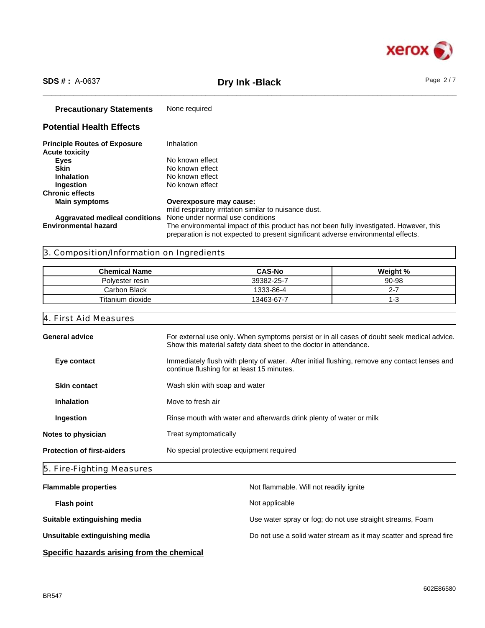

# \_\_\_\_\_\_\_\_\_\_\_\_\_\_\_\_\_\_\_\_\_\_\_\_\_\_\_\_\_\_\_\_\_\_\_\_\_\_\_\_\_\_\_\_\_\_\_\_\_\_\_\_\_\_\_\_\_\_\_\_\_\_\_\_\_\_\_\_\_\_\_\_\_\_\_\_\_\_\_\_\_\_\_\_\_\_\_\_\_\_\_\_\_\_ **SDS # :** A-0637 **Dry Ink -Black** Page 2 / 7

| <b>Precautionary Statements</b>                              | None required                                                                                                                                                                |
|--------------------------------------------------------------|------------------------------------------------------------------------------------------------------------------------------------------------------------------------------|
| <b>Potential Health Effects</b>                              |                                                                                                                                                                              |
| <b>Principle Routes of Exposure</b><br><b>Acute toxicity</b> | Inhalation                                                                                                                                                                   |
| <b>Eyes</b>                                                  | No known effect                                                                                                                                                              |
| <b>Skin</b>                                                  | No known effect                                                                                                                                                              |
| <b>Inhalation</b>                                            | No known effect                                                                                                                                                              |
| Ingestion                                                    | No known effect                                                                                                                                                              |
| <b>Chronic effects</b>                                       |                                                                                                                                                                              |
| <b>Main symptoms</b>                                         | Overexposure may cause:<br>mild respiratory irritation similar to nuisance dust.                                                                                             |
| <b>Aggravated medical conditions</b>                         | None under normal use conditions                                                                                                                                             |
| <b>Environmental hazard</b>                                  | The environmental impact of this product has not been fully investigated. However, this<br>preparation is not expected to present significant adverse environmental effects. |

# 3. Composition/Information on Ingredients

| <b>Chemical Name</b> | <b>CAS-No</b> | Weight % |
|----------------------|---------------|----------|
| Polvester resin      | 39382-25-7    | 90-98    |
| Carbon Black         | 1333-86-4     |          |
| Titanium dioxide     | 13463-67-7    |          |

#### 4. First Aid Measures

| Rinse mouth with water and afterwards drink plenty of water or milk<br>Ingestion |                                        | <b>Skin contact</b><br>Wash skin with soap and water | Immediately flush with plenty of water. After initial flushing, remove any contact lenses and<br>Eye contact<br>continue flushing for at least 15 minutes. |
|----------------------------------------------------------------------------------|----------------------------------------|------------------------------------------------------|------------------------------------------------------------------------------------------------------------------------------------------------------------|
|                                                                                  | Move to fresh air<br><b>Inhalation</b> |                                                      |                                                                                                                                                            |
|                                                                                  |                                        |                                                      |                                                                                                                                                            |
|                                                                                  |                                        |                                                      |                                                                                                                                                            |
|                                                                                  |                                        |                                                      |                                                                                                                                                            |
|                                                                                  |                                        |                                                      |                                                                                                                                                            |

# 5. Fire-Fighting Measures

| <b>Flammable properties</b>    | Not flammable. Will not readily ignite                            |
|--------------------------------|-------------------------------------------------------------------|
| <b>Flash point</b>             | Not applicable                                                    |
| Suitable extinguishing media   | Use water spray or fog; do not use straight streams, Foam         |
| Unsuitable extinguishing media | Do not use a solid water stream as it may scatter and spread fire |
|                                |                                                                   |

# **Specific hazards arising from the chemical**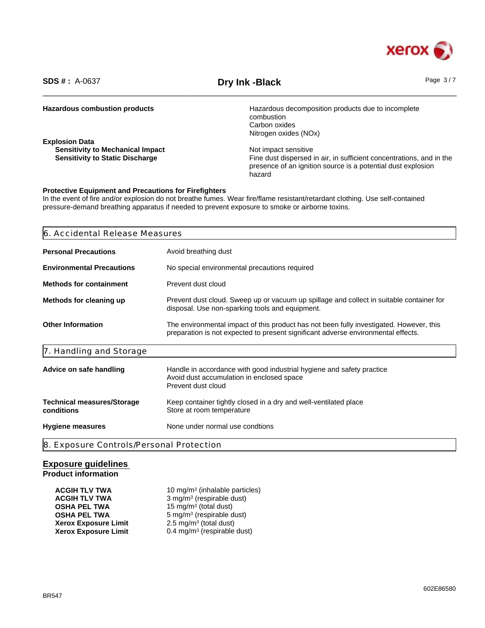

\_\_\_\_\_\_\_\_\_\_\_\_\_\_\_\_\_\_\_\_\_\_\_\_\_\_\_\_\_\_\_\_\_\_\_\_\_\_\_\_\_\_\_\_\_\_\_\_\_\_\_\_\_\_\_\_\_\_\_\_\_\_\_\_\_\_\_\_\_\_\_\_\_\_\_\_\_\_\_\_\_\_\_\_\_\_\_\_\_\_\_\_\_\_ **SDS # :** A-0637 **Dry Ink -Black** Page 3 / 7

| <b>Hazardous combustion products</b>    | Hazardous decomposition products due to incomplete                   |
|-----------------------------------------|----------------------------------------------------------------------|
|                                         | combustion                                                           |
|                                         | Carbon oxides                                                        |
|                                         | Nitrogen oxides (NOx)                                                |
| <b>Explosion Data</b>                   |                                                                      |
| <b>Sensitivity to Mechanical Impact</b> | Not impact sensitive                                                 |
| <b>Sensitivity to Static Discharge</b>  | Fine dust dispersed in air, in sufficient concentrations, and in the |
|                                         | presence of an ignition source is a potential dust explosion         |
|                                         | hazard                                                               |
|                                         |                                                                      |

#### **Protective Equipment and Precautions for Firefighters**

In the event of fire and/or explosion do not breathe fumes. Wear fire/flame resistant/retardant clothing. Use self-contained pressure-demand breathing apparatus if needed to prevent exposure to smoke or airborne toxins.

| 6. Accidental Release Measures                  |                                                                                                                                                                              |  |  |
|-------------------------------------------------|------------------------------------------------------------------------------------------------------------------------------------------------------------------------------|--|--|
| <b>Personal Precautions</b>                     | Avoid breathing dust                                                                                                                                                         |  |  |
| <b>Environmental Precautions</b>                | No special environmental precautions required                                                                                                                                |  |  |
| <b>Methods for containment</b>                  | Prevent dust cloud                                                                                                                                                           |  |  |
| Methods for cleaning up                         | Prevent dust cloud. Sweep up or vacuum up spillage and collect in suitable container for<br>disposal. Use non-sparking tools and equipment.                                  |  |  |
| <b>Other Information</b>                        | The environmental impact of this product has not been fully investigated. However, this<br>preparation is not expected to present significant adverse environmental effects. |  |  |
| 7. Handling and Storage                         |                                                                                                                                                                              |  |  |
| Advice on safe handling                         | Handle in accordance with good industrial hygiene and safety practice<br>Avoid dust accumulation in enclosed space<br>Prevent dust cloud                                     |  |  |
| <b>Technical measures/Storage</b><br>conditions | Keep container tightly closed in a dry and well-ventilated place<br>Store at room temperature                                                                                |  |  |
| <b>Hygiene measures</b>                         | None under normal use condtions                                                                                                                                              |  |  |

#### **Exposure guidelines Product information**

| <b>ACGIH TLV TWA</b>        | 10 mg/m <sup>3</sup> (inhalable particles) |
|-----------------------------|--------------------------------------------|
| <b>ACGIH TLV TWA</b>        | 3 mg/m <sup>3</sup> (respirable dust)      |
| <b>OSHA PEL TWA</b>         | 15 mg/m <sup>3</sup> (total dust)          |
| <b>OSHA PEL TWA</b>         | 5 mg/m <sup>3</sup> (respirable dust)      |
| <b>Xerox Exposure Limit</b> | 2.5 mg/m <sup>3</sup> (total dust)         |
| <b>Xerox Exposure Limit</b> | 0.4 mg/m <sup>3</sup> (respirable dust)    |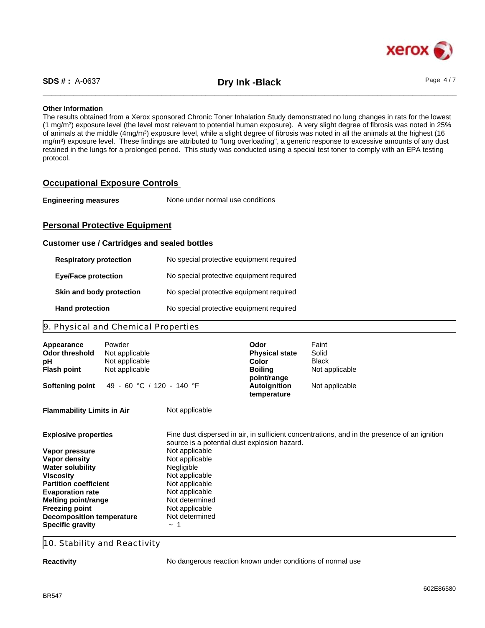

\_\_\_\_\_\_\_\_\_\_\_\_\_\_\_\_\_\_\_\_\_\_\_\_\_\_\_\_\_\_\_\_\_\_\_\_\_\_\_\_\_\_\_\_\_\_\_\_\_\_\_\_\_\_\_\_\_\_\_\_\_\_\_\_\_\_\_\_\_\_\_\_\_\_\_\_\_\_\_\_\_\_\_\_\_\_\_\_\_\_\_\_\_\_ **SDS # :** A-0637 **Dry Ink -Black** Page 4 / 7

#### **Other Information**

The results obtained from a Xerox sponsored Chronic Toner Inhalation Study demonstrated no lung changes in rats for the lowest (1 mg/m<sup>3</sup> ) exposure level (the level most relevant to potential human exposure). A very slight degree of fibrosis was noted in 25% of animals at the middle (4mg/m<sup>3</sup>) exposure level, while a slight degree of fibrosis was noted in all the animals at the highest (16 mg/m<sup>3</sup> ) exposure level. These findings are attributed to "lung overloading", a generic response to excessive amounts of any dust retained in the lungs for a prolonged period. This study was conducted using a special test toner to comply with an EPA testing protocol.

### **Occupational Exposure Controls**

| <b>Engineering measures</b> | None under normal use conditions |  |
|-----------------------------|----------------------------------|--|
|-----------------------------|----------------------------------|--|

## **Personal Protective Equipment**

#### **Customer use / Cartridges and sealed bottles**

| <b>Respiratory protection</b> | No special protective equipment required |
|-------------------------------|------------------------------------------|
| <b>Eye/Face protection</b>    | No special protective equipment required |
| Skin and body protection      | No special protective equipment required |
| <b>Hand protection</b>        | No special protective equipment required |

#### 9. Physical and Chemical Properties

| Appearance<br><b>Odor threshold</b><br>рH<br><b>Flash point</b> | Powder<br>Not applicable<br>Not applicable<br>Not applicable |                                              | Odor<br><b>Physical state</b><br>Color<br><b>Boiling</b> | Faint<br>Solid<br>Black<br>Not applicable                                                    |
|-----------------------------------------------------------------|--------------------------------------------------------------|----------------------------------------------|----------------------------------------------------------|----------------------------------------------------------------------------------------------|
| <b>Softening point</b>                                          | 49 - 60 °C / 120 - 140 °F                                    |                                              | point/range<br><b>Autoignition</b><br>temperature        | Not applicable                                                                               |
| <b>Flammability Limits in Air</b>                               |                                                              | Not applicable                               |                                                          |                                                                                              |
| <b>Explosive properties</b>                                     |                                                              | source is a potential dust explosion hazard. |                                                          | Fine dust dispersed in air, in sufficient concentrations, and in the presence of an ignition |
| Vapor pressure                                                  |                                                              | Not applicable                               |                                                          |                                                                                              |
| Vapor density                                                   |                                                              | Not applicable                               |                                                          |                                                                                              |
| <b>Water solubility</b>                                         |                                                              | Negligible                                   |                                                          |                                                                                              |
| <b>Viscosity</b>                                                |                                                              | Not applicable                               |                                                          |                                                                                              |
| <b>Partition coefficient</b>                                    |                                                              | Not applicable                               |                                                          |                                                                                              |
| <b>Evaporation rate</b>                                         |                                                              | Not applicable                               |                                                          |                                                                                              |
| Melting point/range                                             |                                                              | Not determined                               |                                                          |                                                                                              |
| <b>Freezing point</b>                                           |                                                              | Not applicable                               |                                                          |                                                                                              |
| <b>Decomposition temperature</b>                                |                                                              | Not determined                               |                                                          |                                                                                              |
| <b>Specific gravity</b>                                         |                                                              | $\sim$                                       |                                                          |                                                                                              |

#### 10. Stability and Reactivity

**Reactivity Reactivity No dangerous reaction known under conditions of normal use**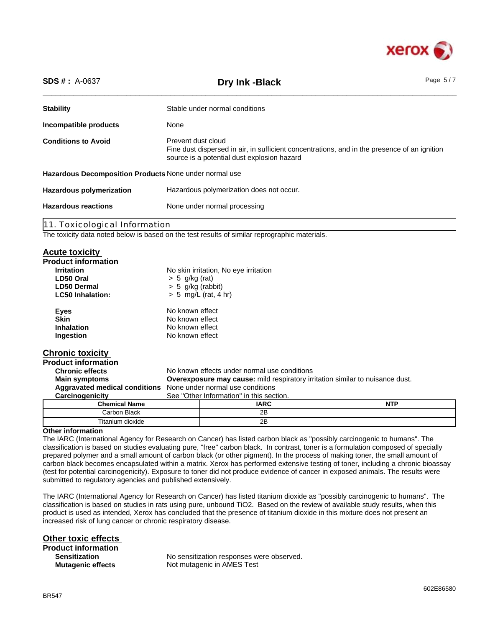

| <b>SDS #: A-0637</b>                                                        | Dry Ink - Black                                                                                                                                                   | Page $5/7$ |
|-----------------------------------------------------------------------------|-------------------------------------------------------------------------------------------------------------------------------------------------------------------|------------|
| <b>Stability</b>                                                            | Stable under normal conditions                                                                                                                                    |            |
| Incompatible products                                                       | None                                                                                                                                                              |            |
| <b>Conditions to Avoid</b>                                                  | Prevent dust cloud<br>Fine dust dispersed in air, in sufficient concentrations, and in the presence of an ignition<br>source is a potential dust explosion hazard |            |
| Hazardous Decomposition Products None under normal use                      |                                                                                                                                                                   |            |
| Hazardous polymerization does not occur.<br><b>Hazardous polymerization</b> |                                                                                                                                                                   |            |
| <b>Hazardous reactions</b>                                                  | None under normal processing                                                                                                                                      |            |
| 11. Toxicological Information                                               |                                                                                                                                                                   |            |

The toxicity data noted below is based on the test results of similar reprographic materials.

Titanium dioxide 2B

#### **Acute toxicity**

| <b>Product information</b> |                                                                                      |                                              |            |
|----------------------------|--------------------------------------------------------------------------------------|----------------------------------------------|------------|
| <b>Irritation</b>          |                                                                                      | No skin irritation, No eye irritation        |            |
| LD50 Oral                  | $> 5$ g/kg (rat)                                                                     |                                              |            |
| <b>LD50 Dermal</b>         | $> 5$ g/kg (rabbit)                                                                  |                                              |            |
| <b>LC50 Inhalation:</b>    |                                                                                      | $> 5$ mg/L (rat, 4 hr)                       |            |
| <b>Eyes</b>                | No known effect                                                                      |                                              |            |
| <b>Skin</b>                | No known effect                                                                      |                                              |            |
| <b>Inhalation</b>          | No known effect                                                                      |                                              |            |
| Ingestion                  | No known effect                                                                      |                                              |            |
| <b>Chronic toxicity</b>    |                                                                                      |                                              |            |
| <b>Product information</b> |                                                                                      |                                              |            |
| <b>Chronic effects</b>     |                                                                                      | No known effects under normal use conditions |            |
| <b>Main symptoms</b>       | <b>Overexposure may cause:</b> mild respiratory irritation similar to nuisance dust. |                                              |            |
|                            | <b>Aggravated medical conditions</b> None under normal use conditions                |                                              |            |
| Carcinogenicity            |                                                                                      | See "Other Information" in this section.     |            |
| <b>Chemical Name</b>       |                                                                                      | <b>IARC</b>                                  | <b>NTP</b> |
| Carbon Black               |                                                                                      | 2B                                           |            |

#### **Other information**

The IARC (International Agency for Research on Cancer) has listed carbon black as "possibly carcinogenic to humans". The classification is based on studies evaluating pure, "free" carbon black. In contrast, toner is a formulation composed of specially prepared polymer and a small amount of carbon black (or other pigment). In the process of making toner, the small amount of carbon black becomes encapsulated within a matrix. Xerox has performed extensive testing of toner, including a chronic bioassay (test for potential carcinogenicity). Exposure to toner did not produce evidence of cancer in exposed animals. The results were submitted to regulatory agencies and published extensively.

The IARC (International Agency for Research on Cancer) has listed titanium dioxide as "possibly carcinogenic to humans". The classification is based on studies in rats using pure, unbound TiO2. Based on the review of available study results, when this product is used as intended, Xerox has concluded that the presence of titanium dioxide in this mixture does not present an increased risk of lung cancer or chronic respiratory disease.

**Other toxic effects Product information Sensitization**

No sensitization responses were observed. **Mutagenic effects** Not mutagenic in AMES Test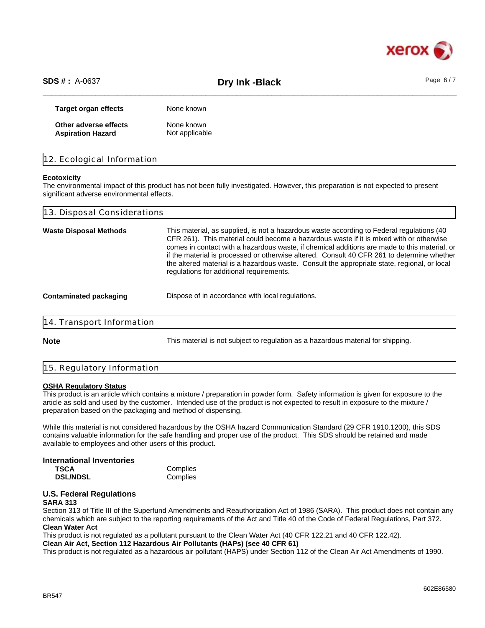

\_\_\_\_\_\_\_\_\_\_\_\_\_\_\_\_\_\_\_\_\_\_\_\_\_\_\_\_\_\_\_\_\_\_\_\_\_\_\_\_\_\_\_\_\_\_\_\_\_\_\_\_\_\_\_\_\_\_\_\_\_\_\_\_\_\_\_\_\_\_\_\_\_\_\_\_\_\_\_\_\_\_\_\_\_\_\_\_\_\_\_\_\_\_ **SDS # :** A-0637 **Dry Ink -Black** Page 6 / 7

| <b>Target organ effects</b> | None known     |
|-----------------------------|----------------|
| Other adverse effects       | None known     |
| <b>Aspiration Hazard</b>    | Not applicable |

|  | 12. Ecological Information |  |
|--|----------------------------|--|
|  |                            |  |

#### **Ecotoxicity**

The environmental impact of this product has not been fully investigated. However, this preparation is not expected to present significant adverse environmental effects.

| 13. Disposal Considerations   |                                                                                                                                                                                                                                                                                                                                                                                                                                                                                                                                |  |  |  |
|-------------------------------|--------------------------------------------------------------------------------------------------------------------------------------------------------------------------------------------------------------------------------------------------------------------------------------------------------------------------------------------------------------------------------------------------------------------------------------------------------------------------------------------------------------------------------|--|--|--|
| <b>Waste Disposal Methods</b> | This material, as supplied, is not a hazardous waste according to Federal regulations (40<br>CFR 261). This material could become a hazardous waste if it is mixed with or otherwise<br>comes in contact with a hazardous waste, if chemical additions are made to this material, or<br>if the material is processed or otherwise altered. Consult 40 CFR 261 to determine whether<br>the altered material is a hazardous waste. Consult the appropriate state, regional, or local<br>regulations for additional requirements. |  |  |  |
| <b>Contaminated packaging</b> | Dispose of in accordance with local regulations.                                                                                                                                                                                                                                                                                                                                                                                                                                                                               |  |  |  |
| 14. Transport Information     |                                                                                                                                                                                                                                                                                                                                                                                                                                                                                                                                |  |  |  |
| <b>Note</b>                   | This material is not subject to regulation as a hazardous material for shipping.                                                                                                                                                                                                                                                                                                                                                                                                                                               |  |  |  |
|                               |                                                                                                                                                                                                                                                                                                                                                                                                                                                                                                                                |  |  |  |

# 15. Regulatory Information

#### **OSHA Regulatory Status**

This product is an article which contains a mixture / preparation in powder form. Safety information is given for exposure to the article as sold and used by the customer. Intended use of the product is not expected to result in exposure to the mixture / preparation based on the packaging and method of dispensing.

While this material is not considered hazardous by the OSHA hazard Communication Standard (29 CFR 1910.1200), this SDS contains valuable information for the safe handling and proper use of the product. This SDS should be retained and made available to employees and other users of this product.

## **International Inventories**

**TSCA** Complies<br> **DSL/NDSL** Complies **DSL/NDSL** 

#### **U.S. Federal Regulations SARA 313**

Section 313 of Title III of the Superfund Amendments and Reauthorization Act of 1986 (SARA). This product does not contain any chemicals which are subject to the reporting requirements of the Act and Title 40 of the Code of Federal Regulations, Part 372. **Clean Water Act**

This product is not regulated as a pollutant pursuant to the Clean Water Act (40 CFR 122.21 and 40 CFR 122.42).

**Clean Air Act, Section 112 Hazardous Air Pollutants (HAPs) (see 40 CFR 61)**

This product is not regulated as a hazardous air pollutant (HAPS) under Section 112 of the Clean Air Act Amendments of 1990.